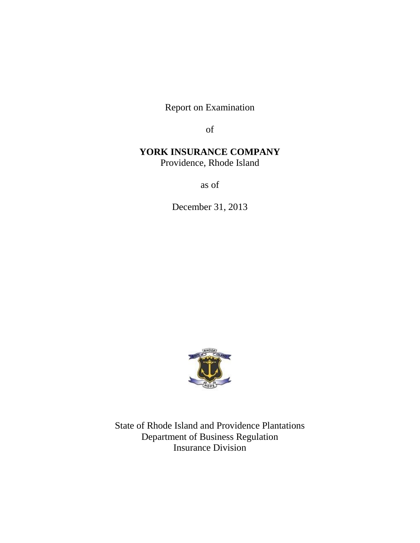Report on Examination

of

# **YORK INSURANCE COMPANY**

Providence, Rhode Island

as of

December 31, 2013



State of Rhode Island and Providence Plantations Department of Business Regulation Insurance Division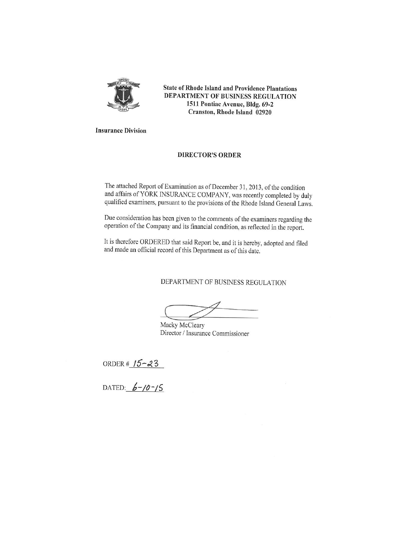

**State of Rhode Island and Providence Plantations** DEPARTMENT OF BUSINESS REGULATION 1511 Pontiac Avenue, Bldg. 69-2 Cranston, Rhode Island 02920

**Insurance Division** 

#### **DIRECTOR'S ORDER**

The attached Report of Examination as of December 31, 2013, of the condition and affairs of YORK INSURANCE COMPANY, was recently completed by duly qualified examiners, pursuant to the provisions of the Rhode Island General Laws.

Due consideration has been given to the comments of the examiners regarding the operation of the Company and its financial condition, as reflected in the report.

It is therefore ORDERED that said Report be, and it is hereby, adopted and filed and made an official record of this Department as of this date.

DEPARTMENT OF BUSINESS REGULATION

Macky McCleary Director / Insurance Commissioner

ORDER # 15-23<br>DATED:  $6-10-15$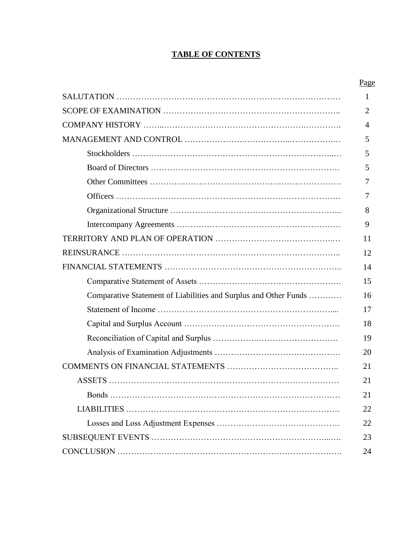# **TABLE OF CONTENTS**

|                                                                  | Page           |
|------------------------------------------------------------------|----------------|
|                                                                  | $\mathbf{1}$   |
|                                                                  | $\overline{2}$ |
|                                                                  | 4              |
|                                                                  | 5              |
|                                                                  | 5              |
|                                                                  | 5              |
|                                                                  | 7              |
|                                                                  | 7              |
|                                                                  | 8              |
|                                                                  | 9              |
|                                                                  | 11             |
|                                                                  | 12             |
|                                                                  | 14             |
|                                                                  | 15             |
| Comparative Statement of Liabilities and Surplus and Other Funds | 16             |
|                                                                  | 17             |
|                                                                  | 18             |
|                                                                  | 19             |
|                                                                  | 20             |
|                                                                  | 21             |
|                                                                  | 21             |
|                                                                  | 21             |
|                                                                  | 22             |
|                                                                  | 22             |
|                                                                  | 23             |
|                                                                  | 24             |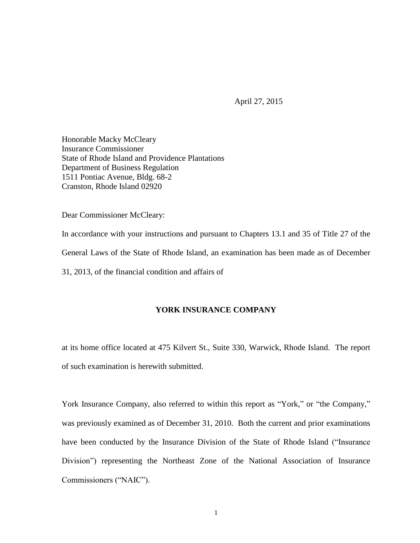April 27, 2015

Honorable Macky McCleary Insurance Commissioner State of Rhode Island and Providence Plantations Department of Business Regulation 1511 Pontiac Avenue, Bldg. 68-2 Cranston, Rhode Island 02920

Dear Commissioner McCleary:

In accordance with your instructions and pursuant to Chapters 13.1 and 35 of Title 27 of the General Laws of the State of Rhode Island, an examination has been made as of December 31, 2013, of the financial condition and affairs of

# **YORK INSURANCE COMPANY**

at its home office located at 475 Kilvert St., Suite 330, Warwick, Rhode Island. The report of such examination is herewith submitted.

York Insurance Company, also referred to within this report as "York," or "the Company," was previously examined as of December 31, 2010. Both the current and prior examinations have been conducted by the Insurance Division of the State of Rhode Island ("Insurance Division") representing the Northeast Zone of the National Association of Insurance Commissioners ("NAIC").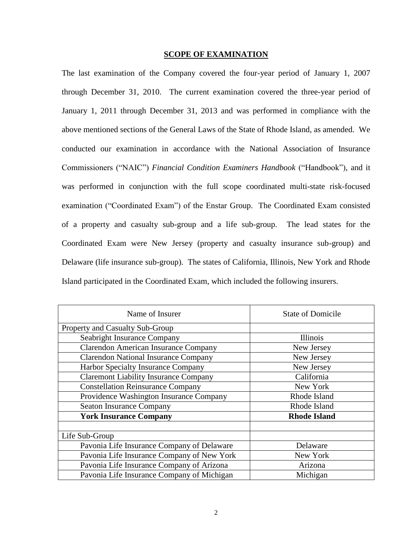### **SCOPE OF EXAMINATION**

The last examination of the Company covered the four-year period of January 1, 2007 through December 31, 2010. The current examination covered the three-year period of January 1, 2011 through December 31, 2013 and was performed in compliance with the above mentioned sections of the General Laws of the State of Rhode Island, as amended. We conducted our examination in accordance with the National Association of Insurance Commissioners ("NAIC") *Financial Condition Examiners Handbook* ("Handbook"), and it was performed in conjunction with the full scope coordinated multi-state risk-focused examination ("Coordinated Exam") of the Enstar Group. The Coordinated Exam consisted of a property and casualty sub-group and a life sub-group. The lead states for the Coordinated Exam were New Jersey (property and casualty insurance sub-group) and Delaware (life insurance sub-group). The states of California, Illinois, New York and Rhode Island participated in the Coordinated Exam, which included the following insurers.

| Name of Insurer                              | <b>State of Domicile</b> |
|----------------------------------------------|--------------------------|
| Property and Casualty Sub-Group              |                          |
| Seabright Insurance Company                  | Illinois                 |
| <b>Clarendon American Insurance Company</b>  | New Jersey               |
| <b>Clarendon National Insurance Company</b>  | New Jersey               |
| <b>Harbor Specialty Insurance Company</b>    | New Jersey               |
| <b>Claremont Liability Insurance Company</b> | California               |
| <b>Constellation Reinsurance Company</b>     | New York                 |
| Providence Washington Insurance Company      | Rhode Island             |
| <b>Seaton Insurance Company</b>              | Rhode Island             |
| <b>York Insurance Company</b>                | <b>Rhode Island</b>      |
|                                              |                          |
| Life Sub-Group                               |                          |
| Pavonia Life Insurance Company of Delaware   | Delaware                 |
| Pavonia Life Insurance Company of New York   | New York                 |
| Pavonia Life Insurance Company of Arizona    | Arizona                  |
| Pavonia Life Insurance Company of Michigan   | Michigan                 |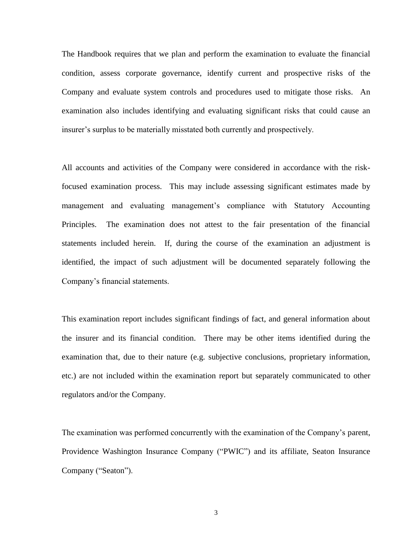The Handbook requires that we plan and perform the examination to evaluate the financial condition, assess corporate governance, identify current and prospective risks of the Company and evaluate system controls and procedures used to mitigate those risks. An examination also includes identifying and evaluating significant risks that could cause an insurer's surplus to be materially misstated both currently and prospectively.

All accounts and activities of the Company were considered in accordance with the riskfocused examination process. This may include assessing significant estimates made by management and evaluating management's compliance with Statutory Accounting Principles. The examination does not attest to the fair presentation of the financial statements included herein. If, during the course of the examination an adjustment is identified, the impact of such adjustment will be documented separately following the Company's financial statements.

This examination report includes significant findings of fact, and general information about the insurer and its financial condition. There may be other items identified during the examination that, due to their nature (e.g. subjective conclusions, proprietary information, etc.) are not included within the examination report but separately communicated to other regulators and/or the Company.

The examination was performed concurrently with the examination of the Company's parent, Providence Washington Insurance Company ("PWIC") and its affiliate, Seaton Insurance Company ("Seaton").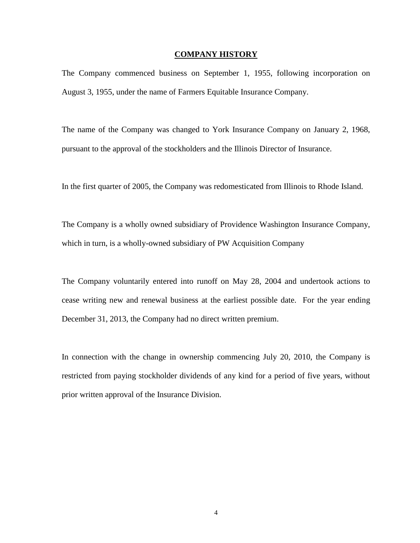# **COMPANY HISTORY**

The Company commenced business on September 1, 1955, following incorporation on August 3, 1955, under the name of Farmers Equitable Insurance Company.

The name of the Company was changed to York Insurance Company on January 2, 1968, pursuant to the approval of the stockholders and the Illinois Director of Insurance.

In the first quarter of 2005, the Company was redomesticated from Illinois to Rhode Island.

The Company is a wholly owned subsidiary of Providence Washington Insurance Company, which in turn, is a wholly-owned subsidiary of PW Acquisition Company

The Company voluntarily entered into runoff on May 28, 2004 and undertook actions to cease writing new and renewal business at the earliest possible date. For the year ending December 31, 2013, the Company had no direct written premium.

In connection with the change in ownership commencing July 20, 2010, the Company is restricted from paying stockholder dividends of any kind for a period of five years, without prior written approval of the Insurance Division.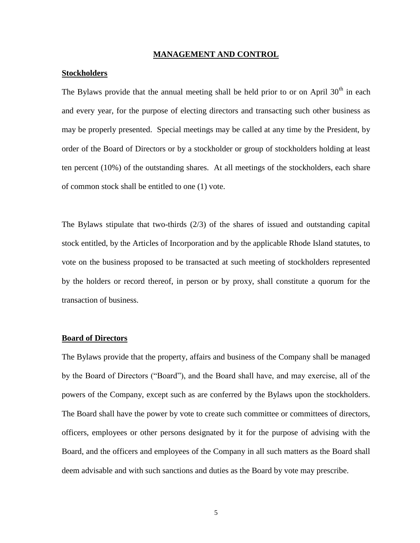### **MANAGEMENT AND CONTROL**

# **Stockholders**

The Bylaws provide that the annual meeting shall be held prior to or on April  $30<sup>th</sup>$  in each and every year, for the purpose of electing directors and transacting such other business as may be properly presented. Special meetings may be called at any time by the President, by order of the Board of Directors or by a stockholder or group of stockholders holding at least ten percent (10%) of the outstanding shares. At all meetings of the stockholders, each share of common stock shall be entitled to one (1) vote.

The Bylaws stipulate that two-thirds (2/3) of the shares of issued and outstanding capital stock entitled, by the Articles of Incorporation and by the applicable Rhode Island statutes, to vote on the business proposed to be transacted at such meeting of stockholders represented by the holders or record thereof, in person or by proxy, shall constitute a quorum for the transaction of business.

# **Board of Directors**

The Bylaws provide that the property, affairs and business of the Company shall be managed by the Board of Directors ("Board"), and the Board shall have, and may exercise, all of the powers of the Company, except such as are conferred by the Bylaws upon the stockholders. The Board shall have the power by vote to create such committee or committees of directors, officers, employees or other persons designated by it for the purpose of advising with the Board, and the officers and employees of the Company in all such matters as the Board shall deem advisable and with such sanctions and duties as the Board by vote may prescribe.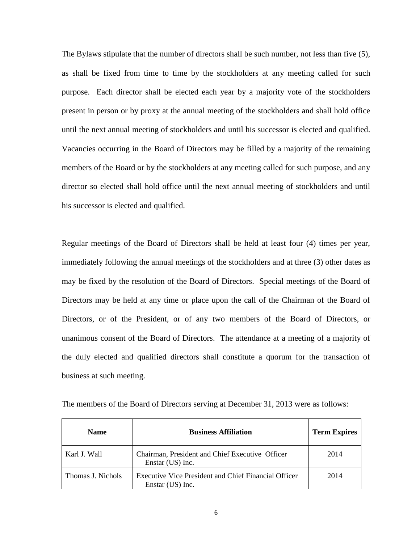The Bylaws stipulate that the number of directors shall be such number, not less than five (5), as shall be fixed from time to time by the stockholders at any meeting called for such purpose. Each director shall be elected each year by a majority vote of the stockholders present in person or by proxy at the annual meeting of the stockholders and shall hold office until the next annual meeting of stockholders and until his successor is elected and qualified. Vacancies occurring in the Board of Directors may be filled by a majority of the remaining members of the Board or by the stockholders at any meeting called for such purpose, and any director so elected shall hold office until the next annual meeting of stockholders and until his successor is elected and qualified.

Regular meetings of the Board of Directors shall be held at least four (4) times per year, immediately following the annual meetings of the stockholders and at three (3) other dates as may be fixed by the resolution of the Board of Directors. Special meetings of the Board of Directors may be held at any time or place upon the call of the Chairman of the Board of Directors, or of the President, or of any two members of the Board of Directors, or unanimous consent of the Board of Directors. The attendance at a meeting of a majority of the duly elected and qualified directors shall constitute a quorum for the transaction of business at such meeting.

| <b>Name</b>       | <b>Business Affiliation</b>                                              | <b>Term Expires</b> |
|-------------------|--------------------------------------------------------------------------|---------------------|
| Karl J. Wall      | Chairman, President and Chief Executive Officer<br>Enstar (US) Inc.      | 2014                |
| Thomas J. Nichols | Executive Vice President and Chief Financial Officer<br>Enstar (US) Inc. | 2014                |

The members of the Board of Directors serving at December 31, 2013 were as follows: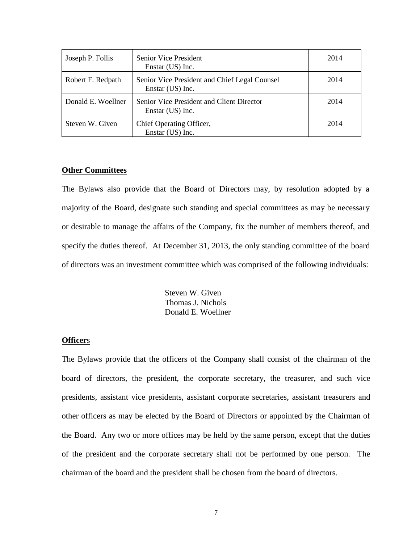| Joseph P. Follis   | Senior Vice President<br>Enstar (US) Inc.                         | 2014 |
|--------------------|-------------------------------------------------------------------|------|
| Robert F. Redpath  | Senior Vice President and Chief Legal Counsel<br>Enstar (US) Inc. | 2014 |
| Donald E. Woellner | Senior Vice President and Client Director<br>Enstar (US) Inc.     | 2014 |
| Steven W. Given    | Chief Operating Officer,<br>Enstar (US) Inc.                      | 2014 |

# **Other Committees**

The Bylaws also provide that the Board of Directors may, by resolution adopted by a majority of the Board, designate such standing and special committees as may be necessary or desirable to manage the affairs of the Company, fix the number of members thereof, and specify the duties thereof. At December 31, 2013, the only standing committee of the board of directors was an investment committee which was comprised of the following individuals:

> Steven W. Given Thomas J. Nichols Donald E. Woellner

### **Officer**s

The Bylaws provide that the officers of the Company shall consist of the chairman of the board of directors, the president, the corporate secretary, the treasurer, and such vice presidents, assistant vice presidents, assistant corporate secretaries, assistant treasurers and other officers as may be elected by the Board of Directors or appointed by the Chairman of the Board. Any two or more offices may be held by the same person, except that the duties of the president and the corporate secretary shall not be performed by one person. The chairman of the board and the president shall be chosen from the board of directors.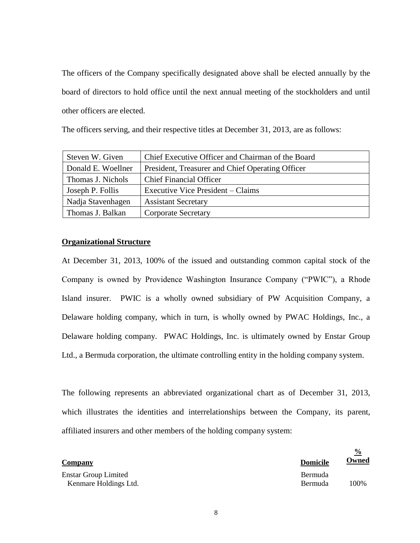The officers of the Company specifically designated above shall be elected annually by the board of directors to hold office until the next annual meeting of the stockholders and until other officers are elected.

The officers serving, and their respective titles at December 31, 2013, are as follows:

| Steven W. Given    | Chief Executive Officer and Chairman of the Board |
|--------------------|---------------------------------------------------|
| Donald E. Woellner | President, Treasurer and Chief Operating Officer  |
| Thomas J. Nichols  | <b>Chief Financial Officer</b>                    |
| Joseph P. Follis   | Executive Vice President – Claims                 |
| Nadja Stavenhagen  | <b>Assistant Secretary</b>                        |
| Thomas J. Balkan   | <b>Corporate Secretary</b>                        |

# **Organizational Structure**

At December 31, 2013, 100% of the issued and outstanding common capital stock of the Company is owned by Providence Washington Insurance Company ("PWIC"), a Rhode Island insurer. PWIC is a wholly owned subsidiary of PW Acquisition Company, a Delaware holding company, which in turn, is wholly owned by PWAC Holdings, Inc., a Delaware holding company. PWAC Holdings, Inc. is ultimately owned by Enstar Group Ltd., a Bermuda corporation, the ultimate controlling entity in the holding company system.

The following represents an abbreviated organizational chart as of December 31, 2013, which illustrates the identities and interrelationships between the Company, its parent, affiliated insurers and other members of the holding company system:

| <b>Company</b>                                       | <b>Domicile</b>           | 7 V<br><u>Owned</u> |
|------------------------------------------------------|---------------------------|---------------------|
| <b>Enstar Group Limited</b><br>Kenmare Holdings Ltd. | Bermuda<br><b>Bermuda</b> | 100%                |

 $\mathbf{0}_{\Lambda}$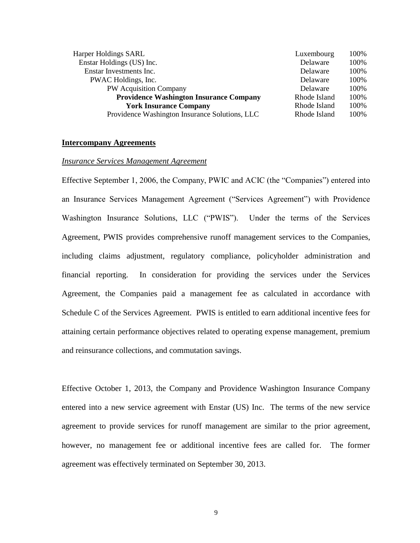| Harper Holdings SARL                           | Luxembourg   | 100% |
|------------------------------------------------|--------------|------|
| Enstar Holdings (US) Inc.                      | Delaware     | 100% |
| Enstar Investments Inc.                        | Delaware     | 100% |
| PWAC Holdings, Inc.                            | Delaware     | 100% |
| PW Acquisition Company                         | Delaware     | 100% |
| <b>Providence Washington Insurance Company</b> | Rhode Island | 100% |
| <b>York Insurance Company</b>                  | Rhode Island | 100% |
| Providence Washington Insurance Solutions, LLC | Rhode Island | 100% |

# **Intercompany Agreements**

#### *Insurance Services Management Agreement*

Effective September 1, 2006, the Company, PWIC and ACIC (the "Companies") entered into an Insurance Services Management Agreement ("Services Agreement") with Providence Washington Insurance Solutions, LLC ("PWIS"). Under the terms of the Services Agreement, PWIS provides comprehensive runoff management services to the Companies, including claims adjustment, regulatory compliance, policyholder administration and financial reporting. In consideration for providing the services under the Services Agreement, the Companies paid a management fee as calculated in accordance with Schedule C of the Services Agreement. PWIS is entitled to earn additional incentive fees for attaining certain performance objectives related to operating expense management, premium and reinsurance collections, and commutation savings.

Effective October 1, 2013, the Company and Providence Washington Insurance Company entered into a new service agreement with Enstar (US) Inc. The terms of the new service agreement to provide services for runoff management are similar to the prior agreement, however, no management fee or additional incentive fees are called for. The former agreement was effectively terminated on September 30, 2013.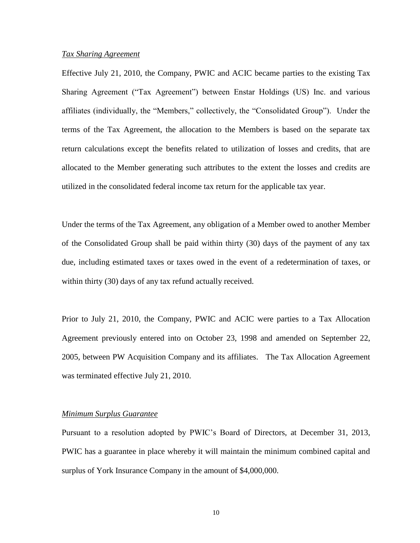#### *Tax Sharing Agreement*

Effective July 21, 2010, the Company, PWIC and ACIC became parties to the existing Tax Sharing Agreement ("Tax Agreement") between Enstar Holdings (US) Inc. and various affiliates (individually, the "Members," collectively, the "Consolidated Group"). Under the terms of the Tax Agreement, the allocation to the Members is based on the separate tax return calculations except the benefits related to utilization of losses and credits, that are allocated to the Member generating such attributes to the extent the losses and credits are utilized in the consolidated federal income tax return for the applicable tax year.

Under the terms of the Tax Agreement, any obligation of a Member owed to another Member of the Consolidated Group shall be paid within thirty (30) days of the payment of any tax due, including estimated taxes or taxes owed in the event of a redetermination of taxes, or within thirty (30) days of any tax refund actually received.

Prior to July 21, 2010, the Company, PWIC and ACIC were parties to a Tax Allocation Agreement previously entered into on October 23, 1998 and amended on September 22, 2005, between PW Acquisition Company and its affiliates. The Tax Allocation Agreement was terminated effective July 21, 2010.

# *Minimum Surplus Guarantee*

Pursuant to a resolution adopted by PWIC's Board of Directors, at December 31, 2013, PWIC has a guarantee in place whereby it will maintain the minimum combined capital and surplus of York Insurance Company in the amount of \$4,000,000.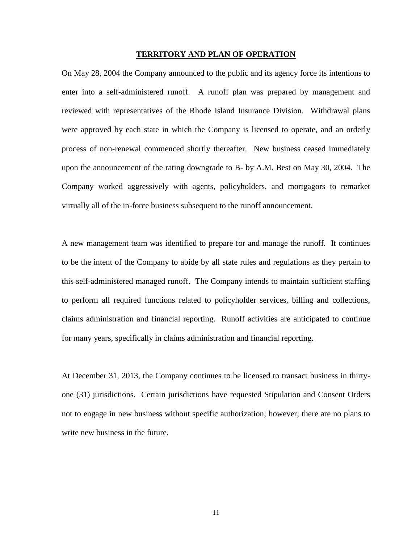#### **TERRITORY AND PLAN OF OPERATION**

On May 28, 2004 the Company announced to the public and its agency force its intentions to enter into a self-administered runoff. A runoff plan was prepared by management and reviewed with representatives of the Rhode Island Insurance Division. Withdrawal plans were approved by each state in which the Company is licensed to operate, and an orderly process of non-renewal commenced shortly thereafter. New business ceased immediately upon the announcement of the rating downgrade to B- by A.M. Best on May 30, 2004. The Company worked aggressively with agents, policyholders, and mortgagors to remarket virtually all of the in-force business subsequent to the runoff announcement.

A new management team was identified to prepare for and manage the runoff. It continues to be the intent of the Company to abide by all state rules and regulations as they pertain to this self-administered managed runoff. The Company intends to maintain sufficient staffing to perform all required functions related to policyholder services, billing and collections, claims administration and financial reporting. Runoff activities are anticipated to continue for many years, specifically in claims administration and financial reporting.

At December 31, 2013, the Company continues to be licensed to transact business in thirtyone (31) jurisdictions. Certain jurisdictions have requested Stipulation and Consent Orders not to engage in new business without specific authorization; however; there are no plans to write new business in the future.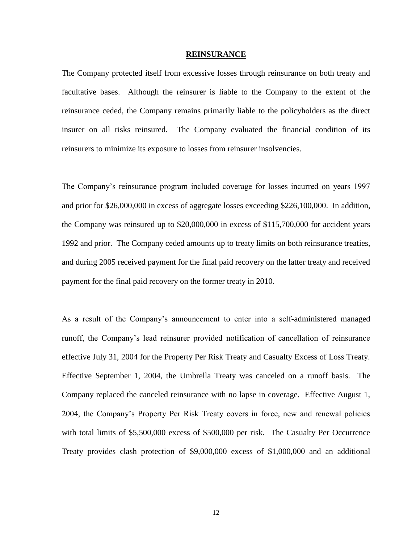#### **REINSURANCE**

The Company protected itself from excessive losses through reinsurance on both treaty and facultative bases. Although the reinsurer is liable to the Company to the extent of the reinsurance ceded, the Company remains primarily liable to the policyholders as the direct insurer on all risks reinsured. The Company evaluated the financial condition of its reinsurers to minimize its exposure to losses from reinsurer insolvencies.

The Company's reinsurance program included coverage for losses incurred on years 1997 and prior for \$26,000,000 in excess of aggregate losses exceeding \$226,100,000. In addition, the Company was reinsured up to \$20,000,000 in excess of \$115,700,000 for accident years 1992 and prior. The Company ceded amounts up to treaty limits on both reinsurance treaties, and during 2005 received payment for the final paid recovery on the latter treaty and received payment for the final paid recovery on the former treaty in 2010.

As a result of the Company's announcement to enter into a self-administered managed runoff, the Company's lead reinsurer provided notification of cancellation of reinsurance effective July 31, 2004 for the Property Per Risk Treaty and Casualty Excess of Loss Treaty. Effective September 1, 2004, the Umbrella Treaty was canceled on a runoff basis. The Company replaced the canceled reinsurance with no lapse in coverage. Effective August 1, 2004, the Company's Property Per Risk Treaty covers in force, new and renewal policies with total limits of \$5,500,000 excess of \$500,000 per risk. The Casualty Per Occurrence Treaty provides clash protection of \$9,000,000 excess of \$1,000,000 and an additional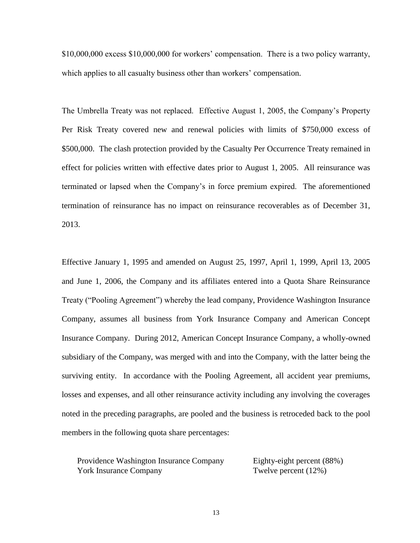\$10,000,000 excess \$10,000,000 for workers' compensation. There is a two policy warranty, which applies to all casualty business other than workers' compensation.

The Umbrella Treaty was not replaced. Effective August 1, 2005, the Company's Property Per Risk Treaty covered new and renewal policies with limits of \$750,000 excess of \$500,000. The clash protection provided by the Casualty Per Occurrence Treaty remained in effect for policies written with effective dates prior to August 1, 2005. All reinsurance was terminated or lapsed when the Company's in force premium expired. The aforementioned termination of reinsurance has no impact on reinsurance recoverables as of December 31, 2013.

Effective January 1, 1995 and amended on August 25, 1997, April 1, 1999, April 13, 2005 and June 1, 2006, the Company and its affiliates entered into a Quota Share Reinsurance Treaty ("Pooling Agreement") whereby the lead company, Providence Washington Insurance Company, assumes all business from York Insurance Company and American Concept Insurance Company. During 2012, American Concept Insurance Company, a wholly-owned subsidiary of the Company, was merged with and into the Company, with the latter being the surviving entity. In accordance with the Pooling Agreement, all accident year premiums, losses and expenses, and all other reinsurance activity including any involving the coverages noted in the preceding paragraphs, are pooled and the business is retroceded back to the pool members in the following quota share percentages:

| Providence Washington Insurance Company | Eighty-eight percent (88%) |
|-----------------------------------------|----------------------------|
| <b>York Insurance Company</b>           | Twelve percent $(12%)$     |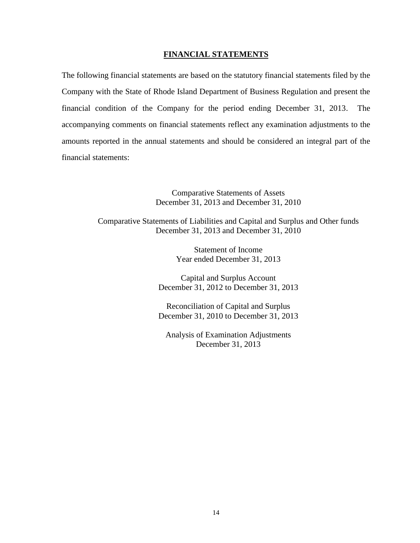# **FINANCIAL STATEMENTS**

The following financial statements are based on the statutory financial statements filed by the Company with the State of Rhode Island Department of Business Regulation and present the financial condition of the Company for the period ending December 31, 2013. The accompanying comments on financial statements reflect any examination adjustments to the amounts reported in the annual statements and should be considered an integral part of the financial statements:

> Comparative Statements of Assets December 31, 2013 and December 31, 2010

Comparative Statements of Liabilities and Capital and Surplus and Other funds December 31, 2013 and December 31, 2010

> Statement of Income Year ended December 31, 2013

Capital and Surplus Account December 31, 2012 to December 31, 2013

Reconciliation of Capital and Surplus December 31, 2010 to December 31, 2013

Analysis of Examination Adjustments December 31, 2013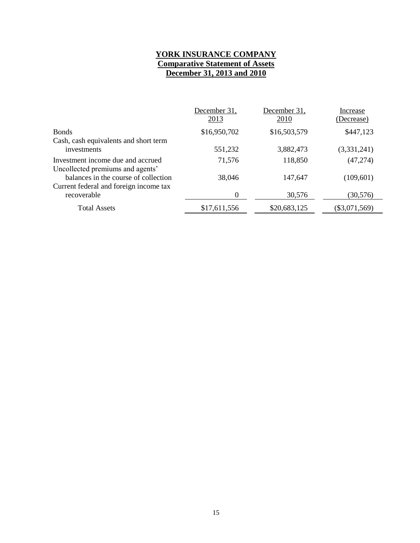# **YORK INSURANCE COMPANY Comparative Statement of Assets December 31, 2013 and 2010**

|                                        | December 31,<br>2013 | December 31,<br>2010 | Increase<br>(Decrease) |
|----------------------------------------|----------------------|----------------------|------------------------|
| <b>Bonds</b>                           | \$16,950,702         | \$16,503,579         | \$447,123              |
| Cash, cash equivalents and short term  |                      |                      |                        |
| investments                            | 551,232              | 3,882,473            | (3,331,241)            |
| Investment income due and accrued      | 71,576               | 118,850              | (47, 274)              |
| Uncollected premiums and agents'       |                      |                      |                        |
| balances in the course of collection   | 38,046               | 147,647              | (109, 601)             |
| Current federal and foreign income tax |                      |                      |                        |
| recoverable                            | 0                    | 30,576               | (30, 576)              |
| Total Assets                           | \$17,611,556         | \$20,683,125         | $(\$3,071,569)$        |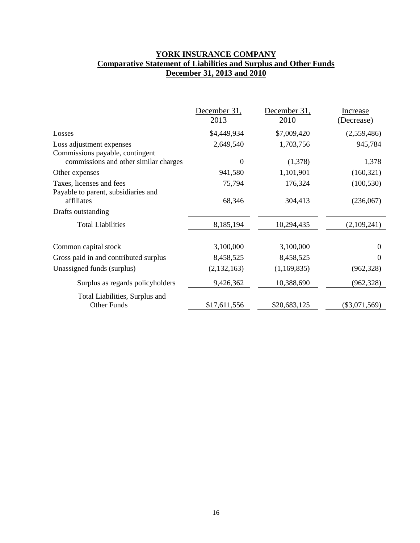# **YORK INSURANCE COMPANY Comparative Statement of Liabilities and Surplus and Other Funds December 31, 2013 and 2010**

|                                                                 | December 31,<br>2013 | December 31,<br>2010 | Increase<br>(Decrease) |
|-----------------------------------------------------------------|----------------------|----------------------|------------------------|
| Losses                                                          | \$4,449,934          | \$7,009,420          | (2,559,486)            |
| Loss adjustment expenses<br>Commissions payable, contingent     | 2,649,540            | 1,703,756            | 945,784                |
| commissions and other similar charges<br>Other expenses         | $\Omega$<br>941,580  | (1,378)<br>1,101,901 | 1,378<br>(160, 321)    |
| Taxes, licenses and fees<br>Payable to parent, subsidiaries and | 75,794               | 176,324              | (100, 530)             |
| affiliates                                                      | 68,346               | 304,413              | (236,067)              |
| Drafts outstanding                                              |                      |                      |                        |
| <b>Total Liabilities</b>                                        | 8,185,194            | 10,294,435           | (2,109,241)            |
| Common capital stock                                            | 3,100,000            | 3,100,000            | 0                      |
| Gross paid in and contributed surplus                           | 8,458,525            | 8,458,525            | 0                      |
| Unassigned funds (surplus)                                      | (2,132,163)          | (1,169,835)          | (962, 328)             |
| Surplus as regards policyholders                                | 9,426,362            | 10,388,690           | (962, 328)             |
| Total Liabilities, Surplus and<br><b>Other Funds</b>            | \$17,611,556         | \$20,683,125         | $(\$3,071,569)$        |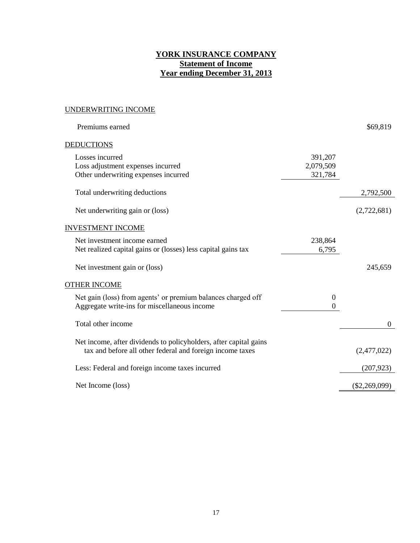# **YORK INSURANCE COMPANY Statement of Income Year ending December 31, 2013**

# UNDERWRITING INCOME

| Premiums earned                                                                                                                |                                 | \$69,819        |
|--------------------------------------------------------------------------------------------------------------------------------|---------------------------------|-----------------|
| DEDUCTIONS                                                                                                                     |                                 |                 |
| Losses incurred<br>Loss adjustment expenses incurred<br>Other underwriting expenses incurred                                   | 391,207<br>2,079,509<br>321,784 |                 |
| Total underwriting deductions                                                                                                  |                                 | 2,792,500       |
| Net underwriting gain or (loss)                                                                                                |                                 | (2,722,681)     |
| <b>INVESTMENT INCOME</b>                                                                                                       |                                 |                 |
| Net investment income earned<br>Net realized capital gains or (losses) less capital gains tax                                  | 238,864<br>6,795                |                 |
| Net investment gain or (loss)                                                                                                  |                                 | 245,659         |
| <b>OTHER INCOME</b>                                                                                                            |                                 |                 |
| Net gain (loss) from agents' or premium balances charged off<br>Aggregate write-ins for miscellaneous income                   | $\mathbf{0}$<br>$\Omega$        |                 |
| Total other income                                                                                                             |                                 | 0               |
| Net income, after dividends to policyholders, after capital gains<br>tax and before all other federal and foreign income taxes |                                 | (2,477,022)     |
| Less: Federal and foreign income taxes incurred                                                                                |                                 | (207, 923)      |
| Net Income (loss)                                                                                                              |                                 | $(\$2,269,099)$ |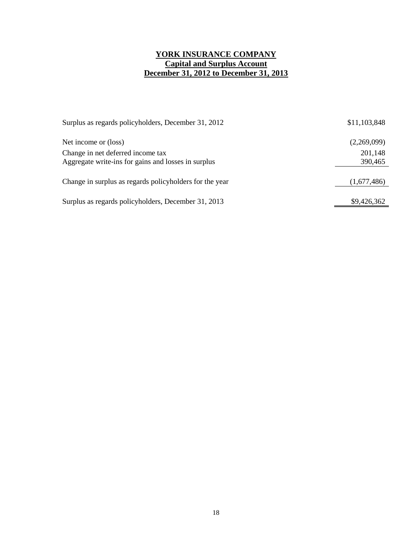# **YORK INSURANCE COMPANY Capital and Surplus Account December 31, 2012 to December 31, 2013**

| Surplus as regards policyholders, December 31, 2012                                      | \$11,103,848       |
|------------------------------------------------------------------------------------------|--------------------|
| Net income or (loss)                                                                     | (2,269,099)        |
| Change in net deferred income tax<br>Aggregate write-ins for gains and losses in surplus | 201,148<br>390,465 |
| Change in surplus as regards policyholders for the year                                  | (1,677,486)        |
| Surplus as regards policyholders, December 31, 2013                                      | \$9,426,362        |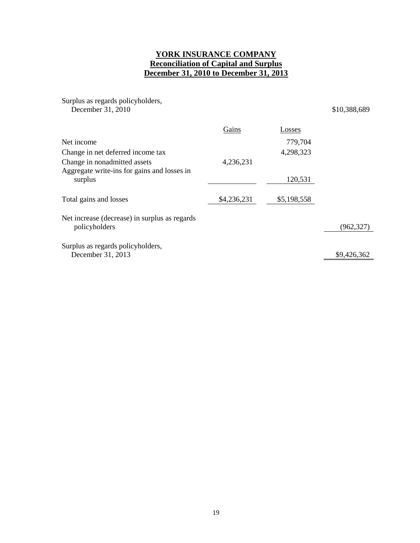# **YORK INSURANCE COMPANY Reconciliation of Capital and Surplus December 31, 2010 to December 31, 2013**

Surplus as regards policyholders, December 31, 2010 \$10,388,689

| Gains       | Losses      |             |
|-------------|-------------|-------------|
|             | 779,704     |             |
|             | 4,298,323   |             |
| 4,236,231   |             |             |
|             | 120,531     |             |
| \$4,236,231 | \$5,198,558 |             |
|             |             | (962, 327)  |
|             |             | \$9,426,362 |
|             |             |             |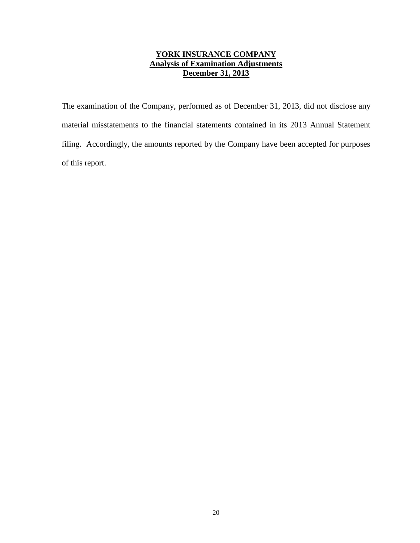# **YORK INSURANCE COMPANY Analysis of Examination Adjustments December 31, 2013**

The examination of the Company, performed as of December 31, 2013, did not disclose any material misstatements to the financial statements contained in its 2013 Annual Statement filing. Accordingly, the amounts reported by the Company have been accepted for purposes of this report.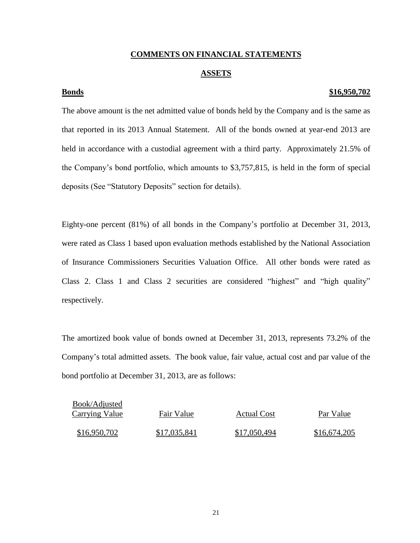# **COMMENTS ON FINANCIAL STATEMENTS**

# **ASSETS**

# **Bonds \$16,950,702**

The above amount is the net admitted value of bonds held by the Company and is the same as that reported in its 2013 Annual Statement. All of the bonds owned at year-end 2013 are held in accordance with a custodial agreement with a third party. Approximately 21.5% of the Company's bond portfolio, which amounts to \$3,757,815, is held in the form of special deposits (See "Statutory Deposits" section for details).

Eighty-one percent (81%) of all bonds in the Company's portfolio at December 31, 2013, were rated as Class 1 based upon evaluation methods established by the National Association of Insurance Commissioners Securities Valuation Office. All other bonds were rated as Class 2. Class 1 and Class 2 securities are considered "highest" and "high quality" respectively.

The amortized book value of bonds owned at December 31, 2013, represents 73.2% of the Company's total admitted assets. The book value, fair value, actual cost and par value of the bond portfolio at December 31, 2013, are as follows:

| <b>Book/Adjusted</b> |              |                    |              |
|----------------------|--------------|--------------------|--------------|
| Carrying Value       | Fair Value   | <b>Actual Cost</b> | Par Value    |
| \$16,950,702         | \$17,035,841 | \$17,050,494       | \$16,674,205 |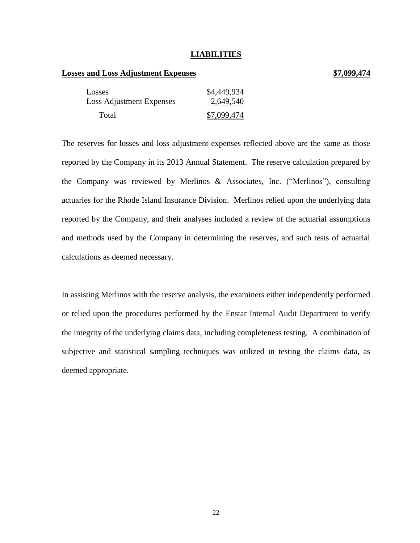# **LIABILITIES**

# **Losses and Loss Adjustment Expenses \$7,099,474**

# Losses \$4,449,934 Loss Adjustment Expenses 2,649,540 Total \$7,099,474

The reserves for losses and loss adjustment expenses reflected above are the same as those reported by the Company in its 2013 Annual Statement. The reserve calculation prepared by the Company was reviewed by Merlinos & Associates, Inc. ("Merlinos"), consulting actuaries for the Rhode Island Insurance Division. Merlinos relied upon the underlying data reported by the Company, and their analyses included a review of the actuarial assumptions and methods used by the Company in determining the reserves, and such tests of actuarial calculations as deemed necessary.

In assisting Merlinos with the reserve analysis, the examiners either independently performed or relied upon the procedures performed by the Enstar Internal Audit Department to verify the integrity of the underlying claims data, including completeness testing. A combination of subjective and statistical sampling techniques was utilized in testing the claims data, as deemed appropriate.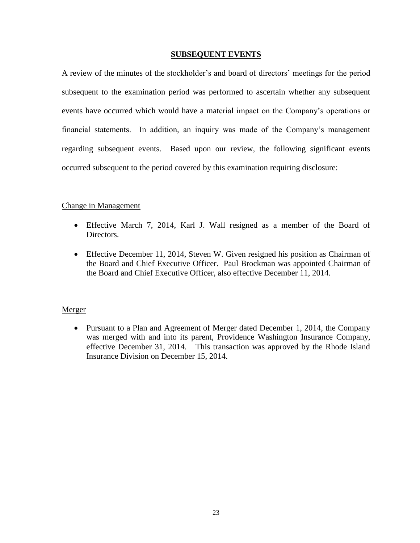# **SUBSEQUENT EVENTS**

A review of the minutes of the stockholder's and board of directors' meetings for the period subsequent to the examination period was performed to ascertain whether any subsequent events have occurred which would have a material impact on the Company's operations or financial statements. In addition, an inquiry was made of the Company's management regarding subsequent events. Based upon our review, the following significant events occurred subsequent to the period covered by this examination requiring disclosure:

# Change in Management

- Effective March 7, 2014, Karl J. Wall resigned as a member of the Board of Directors.
- Effective December 11, 2014, Steven W. Given resigned his position as Chairman of the Board and Chief Executive Officer. Paul Brockman was appointed Chairman of the Board and Chief Executive Officer, also effective December 11, 2014.

# Merger

 Pursuant to a Plan and Agreement of Merger dated December 1, 2014, the Company was merged with and into its parent, Providence Washington Insurance Company, effective December 31, 2014. This transaction was approved by the Rhode Island Insurance Division on December 15, 2014.